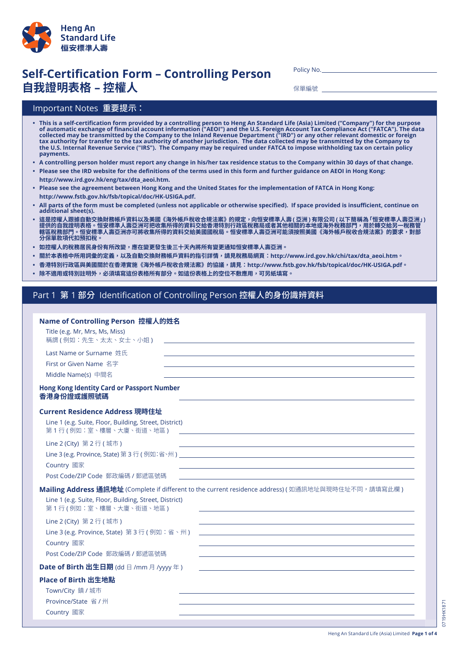

# **Self-Certification Form - Controlling Person 自我證明表格 – 控權人**

Policy No.

保單編號

### Important Notes 重要提示:

- This is a self-certification form provided by a controlling person to Heng An Standard Life (Asia) Limited ("Company") for the purpose of automatic exchange of financial account information ("AEOI") and the U.S. Foreign Account Tax Compliance Act ("FATCA"). The data collected may be transmitted by the Company to the Inland Revenue Department ("IRD") or any other relevant domestic or foreign tax authority for transfer to the tax authority of another jurisdiction. The data collected may be transmitted by the Company to the U.S. Internal Revenue Service ("IRS"). The Company may be required under FATCA to impose withholding tax on certain policy **payments.**
- . A controlling person holder must report any change in his/her tax residence status to the Company within 30 days of that change.
- . Please see the IRD website for the definitions of the terms used in this form and further guidance on AEOI in Hong Kong:  **http://www.ird.gov.hk/eng/tax/dta\_aeoi.htm.**
- . Please see the agreement between Hong Kong and the United States for the implementation of FATCA in Hong Kong:  **http://www.fstb.gov.hk/fsb/topical/doc/HK-USIGA.pdf.**
- All parts of the form must be completed (unless not applicable or otherwise specified). If space provided is insufficient, continue on additional sheet(s).
- **• 這是控權人跟據自動交換財務帳戶資料以及美國《海外帳戶稅收合規法案》的規定,向恒安標準人壽 ( 亞洲 ) 有限公司 ( 以下簡稱為「恒安標準人壽亞洲」)** 提供的自我證明表格。恒安標準人壽亞洲可把收集所得的資料交給香港特別行政區稅務局或者其他相關的本地或海外稅務部門,用於轉交給另一**稅務**管 **轄區稅務部門。恒安標準人壽亞洲亦可將收集所得的資料交給美國國稅局。恒安標準人壽亞洲可能須按照美國《海外帳戶稅收合規法案》的要求,對部 分保單款項代扣預扣稅。**
- **• 如控權人的稅務居民身份有所改變,應在變更發生後三十天內將所有變更通知恒安標準人壽亞洲。**
- 關於本表格中所用詞彙的定義,以及自動交換財務帳戶資料的指引詳情,請見稅務局網頁:http://www.ird.gov.hk/chi/tax/dta\_aeoi.htm。
- 香港特別行政區與美國關於在香港實施《海外帳戶稅收合規法案》的協議,請見:http://www.fstb.gov.hk/fsb/topical/doc/HK-USIGA.pdf。
- **• 除不適用或特別註明外,必須填寫這份表格所有部分。如這份表格上的空位不敷應用,可另紙填寫。**

#### Part 1 第 1 部分 Identification of Controlling Person 控權人的身份識辨資料

| Name of Controlling Person 控權人的姓名                                                                                                                   |
|-----------------------------------------------------------------------------------------------------------------------------------------------------|
| Title (e.g. Mr, Mrs, Ms, Miss)<br>稱謂 (例如:先生、太太、女士、小姐)                                                                                               |
| Last Name or Surname 姓氏<br>First or Given Name 名字<br>Middle Name(s) 中間名                                                                             |
| <b>Hong Kong Identity Card or Passport Number</b><br>香港身份證或護照號碼                                                                                     |
| Current Residence Address 現時住址                                                                                                                      |
| Line 1 (e.g. Suite, Floor, Building, Street, District)<br>第1行(例如:室、樓層、大廈、街道、地區)<br><u> 1989 - Johann John Stone, Amerikaansk politiker († 1908)</u> |
| Line 2 (City) 第 2 行 ( 城市 )                                                                                                                          |
|                                                                                                                                                     |
| Country 國家                                                                                                                                          |
| Post Code/ZIP Code 郵政編碼 / 郵遞區號碼                                                                                                                     |
| Mailing Address 通訊地址 (Complete if different to the current residence address) (如通訊地址與現時住址不同,請填寫此欄)                                                  |
| Line 1 (e.g. Suite, Floor, Building, Street, District)<br>第1行(例如:室、樓層、大廈、街道、地區)                                                                     |
| Line 2 (City) 第 2 行 (城市)<br>and the control of the control of the control of the control of the control of the control of the control of the        |
| Line 3 (e.g. Province, State) 第3行 (例如:省、州)                                                                                                          |
| Country 國家                                                                                                                                          |
| Post Code/ZIP Code 郵政編碼 / 郵遞區號碼                                                                                                                     |
| <b>Date of Birth 出生日期</b> (dd 日 /mm 月 /yyyy 年)                                                                                                      |
| Place of Birth 出生地點                                                                                                                                 |
| Town/City 鎮 / 城市                                                                                                                                    |
| Province/State 省 / 州                                                                                                                                |
| Country 國家                                                                                                                                          |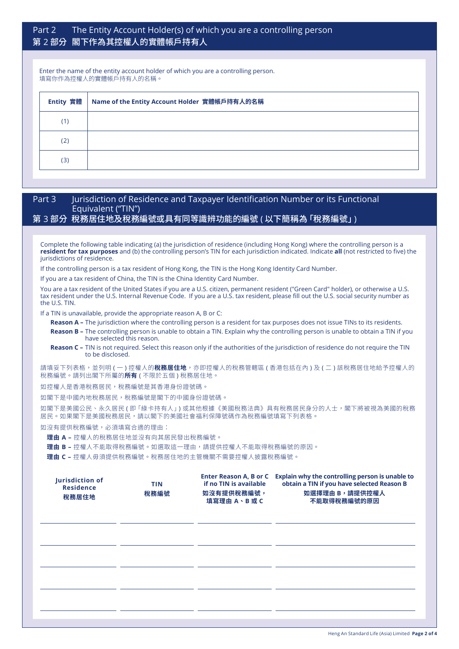## Part 2 The Entity Account Holder(s) of which you are a controlling person 第 2 部分 閣下作為其控權人的實體帳戶持有人

Enter the name of the entity account holder of which you are a controlling person. 填寫你作為控權人的實體帳戶持有人的名稱。

| Entity 實體 | Name of the Entity Account Holder 實體帳戶持有人的名稱 |  |  |
|-----------|----------------------------------------------|--|--|
| (1)       |                                              |  |  |
| (2)       |                                              |  |  |
| (3)       |                                              |  |  |

#### Part 3 Jurisdiction of Residence and Taxpayer Identification Number or its Functional Equivalent ("TIN")

#### 第 3 部分 稅務居住地及稅務編號或具有同等識辨功能的編號 ( 以下簡稱為 「稅務編號」)

Complete the following table indicating (a) the jurisdiction of residence (including Hong Kong) where the controlling person is a **resident for tax purposes** and (b) the controlling person's TIN for each jurisdiction indicated. Indicate **all** (not restricted to five) the jurisdictions of residence.

If the controlling person is a tax resident of Hong Kong, the TIN is the Hong Kong Identity Card Number.

If you are a tax resident of China, the TIN is the China Identity Card Number.

You are a tax resident of the United States if you are a U.S. citizen, permanent resident ("Green Card" holder), or otherwise a U.S. tax resident under the U.S. Internal Revenue Code. If you are a U.S. tax resident, please fill out the U.S. social security number as the U.S. TIN.

If a TIN is unavailable, provide the appropriate reason A, B or C:

**Reason A –** The jurisdiction where the controlling person is a resident for tax purposes does not issue TINs to its residents. **Reason B –** The controlling person is unable to obtain a TIN. Explain why the controlling person is unable to obtain a TIN if you have selected this reason.

**Reason C –** TIN is not required. Select this reason only if the authorities of the jurisdiction of residence do not require the TIN to be disclosed.

請填妥下列表格,並列明 ( 一 ) 控權人的**稅務居住地**,亦即控權人的稅務管轄區 ( 香港包括在內 ) 及 ( 二 ) 該稅務居住地給予控權人的 稅務編號。請列出閣下所屬的**所有** ( 不限於五個 ) 稅務居住地。

如控權人是香港稅務居民,稅務編號是其香港身份證號碼。

如閣下是中國內地稅務居民,稅務編號是閣下的中國身份證號碼。

如閣下是美國公民、永久居民 ( 即 「綠卡持有人」) 或其他根據《美國稅務法典》具有稅務居民身分的人士,閣下將被視為美國的稅務 居民。如果閣下是美國稅務居民,請以閣下的美國社會福利保障號碼作為稅務編號填寫下列表格。

如沒有提供稅務編號,必須填寫合適的理由:

**理由 A –** 控權人的稅務居住地並沒有向其居民發出稅務編號。

**理由 B –** 控權人不能取得稅務編號。如選取這一理由,請提供控權人不能取得稅務編號的原因。

**理由 C –** 控權人毋須提供稅務編號。稅務居住地的主管機關不需要控權人披露稅務編號。

| Jurisdiction of<br><b>Residence</b><br>稅務居住地 | <b>TIN</b><br>稅務編號 | if no TIN is available<br>如沒有提供稅務編號,<br>填寫理由 A、B 或 C | Enter Reason A, B or C Explain why the controlling person is unable to<br>obtain a TIN if you have selected Reason B<br>如選擇理由 B,請提供控權人<br>不能取得稅務編號的原因 |
|----------------------------------------------|--------------------|------------------------------------------------------|-------------------------------------------------------------------------------------------------------------------------------------------------------|
|                                              |                    |                                                      |                                                                                                                                                       |
|                                              |                    |                                                      |                                                                                                                                                       |
|                                              |                    |                                                      |                                                                                                                                                       |
|                                              |                    |                                                      |                                                                                                                                                       |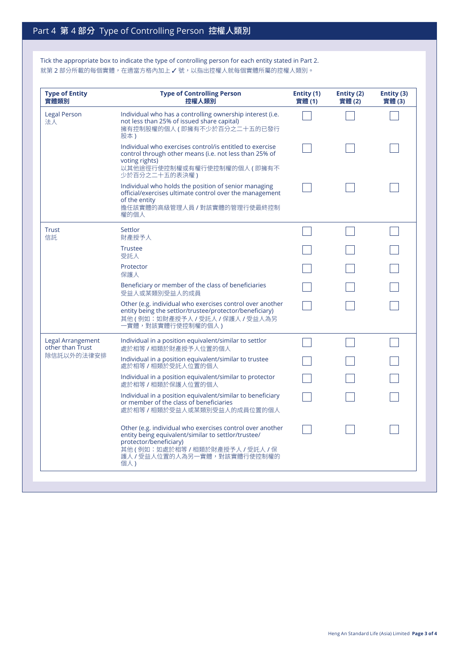Tick the appropriate box to indicate the type of controlling person for each entity stated in Part 2. 就第 2 部分所載的每個實體,在適當方格內加上 √號,以指出控權人就每個實體所屬的控權人類別。

| <b>Type of Entity</b><br>實體類別         | <b>Type of Controlling Person</b><br>控權人類別                                                                                                                                                                      | Entity (1)<br>實體(1) | Entity (2)<br>實體(2) | Entity (3)<br>實體(3) |
|---------------------------------------|-----------------------------------------------------------------------------------------------------------------------------------------------------------------------------------------------------------------|---------------------|---------------------|---------------------|
| <b>Legal Person</b><br>法人             | Individual who has a controlling ownership interest (i.e.<br>not less than 25% of issued share capital)<br>擁有控制股權的個人 (即擁有不少於百分之二十五的已發行<br>股本)                                                                   |                     |                     |                     |
|                                       | Individual who exercises control/is entitled to exercise<br>control through other means (i.e. not less than 25% of<br>voting rights)<br>以其他途徑行使控制權或有權行使控制權的個人 (即擁有不<br>少於百分之二十五的表決權)                            |                     |                     |                     |
|                                       | Individual who holds the position of senior managing<br>official/exercises ultimate control over the management<br>of the entity<br>擔任該實體的高級管理人員 / 對該實體的管理行使最終控制<br>權的個人                                        |                     |                     |                     |
| <b>Trust</b><br>信託                    | Settlor<br>財產授予人                                                                                                                                                                                                |                     |                     |                     |
|                                       | <b>Trustee</b><br>受託人                                                                                                                                                                                           |                     |                     |                     |
|                                       | Protector<br>保護人                                                                                                                                                                                                |                     |                     |                     |
|                                       | Beneficiary or member of the class of beneficiaries<br>受益人或某類別受益人的成員                                                                                                                                            |                     |                     |                     |
|                                       | Other (e.g. individual who exercises control over another<br>entity being the settlor/trustee/protector/beneficiary)<br>其他 ( 例如:如財產授予人 / 受託人 / 保護人 / 受益人為另<br>一實體,對該實體行使控制權的個人)                                 |                     |                     |                     |
| Legal Arrangement<br>other than Trust | Individual in a position equivalent/similar to settlor<br>處於相等 / 相類於財產授予人位置的個人                                                                                                                                  |                     |                     |                     |
| 除信託以外的法律安排                            | Individual in a position equivalent/similar to trustee<br>處於相等 / 相類於受託人位置的個人                                                                                                                                    |                     |                     |                     |
|                                       | Individual in a position equivalent/similar to protector<br>處於相等 / 相類於保護人位置的個人                                                                                                                                  |                     |                     |                     |
|                                       | Individual in a position equivalent/similar to beneficiary<br>or member of the class of beneficiaries<br>處於相等 / 相類於受益人或某類別受益人的成員位置的個人                                                                           |                     |                     |                     |
|                                       | Other (e.g. individual who exercises control over another<br>entity being equivalent/similar to settlor/trustee/<br>protector/beneficiary)<br>其他(例如:如處於相等/相類於財產授予人/受託人/保<br>護人 / 受益人位置的人為另一實體,對該實體行使控制權的<br>個人) |                     |                     |                     |